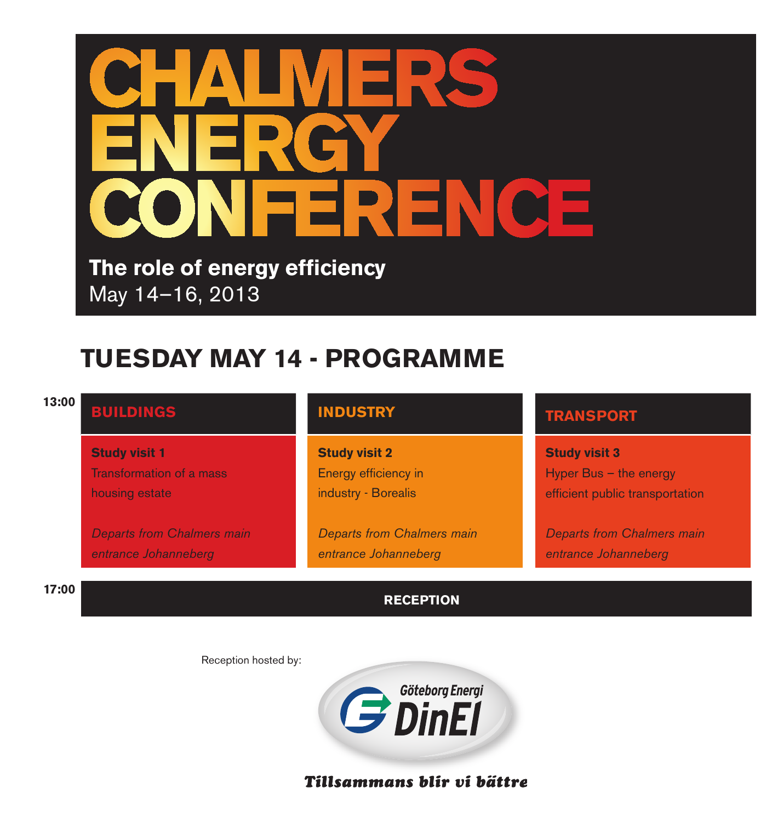

**The role of energy efficiency** May 14–16, 2013

# **TUESDAY MAY 14 - PROGRAMME**

| 13:00 | <b>BUILDINGS</b>                  | <b>INDUSTRY</b>                   | <b>TRANSPORT</b>                  |  |
|-------|-----------------------------------|-----------------------------------|-----------------------------------|--|
|       | <b>Study visit 1</b>              | <b>Study visit 2</b>              | <b>Study visit 3</b>              |  |
|       | <b>Transformation of a mass</b>   | Energy efficiency in              | Hyper Bus $-$ the energy          |  |
|       | housing estate                    | industry - Borealis               | efficient public transportation   |  |
|       | <b>Departs from Chalmers main</b> | <b>Departs from Chalmers main</b> | <b>Departs from Chalmers main</b> |  |
|       | entrance Johanneberg              | entrance Johanneberg              | entrance Johanneberg              |  |
| 17:00 |                                   | <b>RECEPTION</b>                  |                                   |  |

Reception hosted by:



Tillsammans blir vi bättre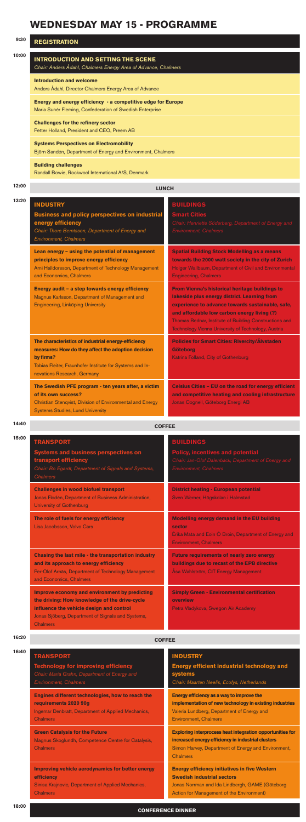### **WEDNESDAY MAY 15 - PROGRAMME**

| 9:30  | <b>REGISTRATION</b>                                                                                                      |  |  |
|-------|--------------------------------------------------------------------------------------------------------------------------|--|--|
| 10:00 | <b>INTRODUCTION AND SETTING THE SCENE</b><br>Chair: Anders Ådahl, Chalmers Energy Area of Advance, Chalmers              |  |  |
|       | <b>Introduction and welcome</b><br>Anders Ådahl, Director Chalmers Energy Area of Advance                                |  |  |
|       | Energy and energy efficiency - a competitive edge for Europe<br>Maria Sunér Fleming, Confederation of Swedish Enterprise |  |  |
|       | <b>Challenges for the refinery sector</b><br>Petter Holland, President and CEO, Preem AB                                 |  |  |
|       | <b>Systems Perspectives on Electromobility</b><br>Björn Sandén, Department of Energy and Environment, Chalmers           |  |  |
|       | <b>Building challenges</b>                                                                                               |  |  |

Randall Bowie, Rockwool International A/S, Denmark

|  | - | 11<br>. |  |
|--|---|---------|--|
|  |   |         |  |

| 12:00 | <b>LUNCH</b> |
|-------|--------------|
|       |              |

| 13:20 | <b>INDUSTRY</b>                                                                                                                                                                                                   | <b>BUILDINGS</b>                                                                                                                                                                                                                                                                                                   |
|-------|-------------------------------------------------------------------------------------------------------------------------------------------------------------------------------------------------------------------|--------------------------------------------------------------------------------------------------------------------------------------------------------------------------------------------------------------------------------------------------------------------------------------------------------------------|
|       | <b>Business and policy perspectives on industrial</b><br>energy efficiency<br>Chair: Thore Berntsson, Department of Energy and<br><b>Environment, Chalmers</b>                                                    | <b>Smart Cities</b><br>Chair: Henriette Söderberg, Department of Energy and<br><b>Environment, Chalmers</b>                                                                                                                                                                                                        |
|       | Lean energy - using the potential of management<br>principles to improve energy efficiency<br>Arni Halldorsson, Department of Technology Management<br>and Economics, Chalmers                                    | <b>Spatial Building Stock Modelling as a means</b><br>towards the 2000 watt society in the city of Zurich<br>Holger Wallbaum, Department of Civil and Environmental<br><b>Engineering, Chalmers</b>                                                                                                                |
|       | Energy audit - a step towards energy efficiency<br>Magnus Karlsson, Department of Management and<br>Engineering, Linköping University                                                                             | From Vienna's historical heritage buildings to<br>lakeside plus energy district. Learning from<br>experience to advance towards sustainable, safe,<br>and affordable low carbon energy living (?)<br>Thomas Bednar, Institute of Building Constructions and<br>Technology Vienna University of Technology, Austria |
|       | The characteristics of industrial energy-efficiency<br>measures: How do they affect the adoption decision<br>by firms?<br>Tobias Fleiter, Fraunhofer Institute for Systems and In-<br>novations Research, Germany | <b>Policies for Smart Cities: Rivercity/Älvstaden</b><br><b>Göteborg</b><br>Katrina Folland, City of Gothenburg                                                                                                                                                                                                    |
|       | The Swedish PFE program - ten years after, a victim<br>of its own success?<br>Christian Stengvist, Division of Environmental and Energy<br><b>Systems Studies, Lund University</b>                                | Celsius Cities - EU on the road for energy efficient<br>and competitive heating and cooling infrastructure<br>Jonas Cognell, Göteborg Energi AB                                                                                                                                                                    |
| 14:40 | <b>COFFEE</b>                                                                                                                                                                                                     |                                                                                                                                                                                                                                                                                                                    |

Ingemar Denbratt, Department of Applied Mechanics, **Chalmers** 

> **Exploring interprocess heat integration opportunities for increased energy efficiency in industrial clusters** Simon Harvey, Department of Energy and Environment, **Chalmers**

**Improving vehicle aerodynamics for better energy efficiency**  Sinisa Krajnovic, Department of Applied Mechanics, **Chalmers** 

| ۰.<br>×<br>× | ۰.<br>٠ |
|--------------|---------|
|--------------|---------|

| :00 | <b>TRANSPORT</b><br><b>Systems and business perspectives on</b><br>transport efficiency<br>Chair: Bo Egardt, Department of Signals and Systems,<br><b>Chalmers</b>                                                 | <b>BUILDINGS</b><br><b>Policy, incentives and potential</b><br>Chair: Jan-Olof Dalenbäck, Department of Energy and<br><b>Environment, Chalmers</b> |  |
|-----|--------------------------------------------------------------------------------------------------------------------------------------------------------------------------------------------------------------------|----------------------------------------------------------------------------------------------------------------------------------------------------|--|
|     | <b>Challenges in wood biofuel transport</b><br>Jonas Flodén, Department of Business Administration,<br><b>University of Gothenburg</b>                                                                             | <b>District heating - European potential</b><br>Sven Werner, Högskolan i Halmstad                                                                  |  |
|     | The role of fuels for energy efficiency<br>Lisa Jacobsson, Volvo Cars                                                                                                                                              | Modelling energy demand in the EU building<br>sector<br>Érika Mata and Eoin Ó Broin, Department of Energy and<br><b>Environment. Chalmers</b>      |  |
|     | Chasing the last mile - the transportation industry<br>and its approach to energy efficiency<br>Per-Olof Arnäs, Department of Technology Management<br>and Economics, Chalmers                                     | <b>Future requirements of nearly zero energy</b><br>buildings due to recast of the EPB directive<br>Åsa Wahlström, CIT Energy Management           |  |
|     | Improve economy and environment by predicting<br>the driving: How knowledge of the drive-cycle<br>influence the vehicle design and control<br>Jonas Sjöberg, Department of Signals and Systems,<br><b>Chalmers</b> | <b>Simply Green - Environmental certification</b><br>overview<br>Petra Vladykova, Swegon Air Academy                                               |  |

**16:20 COFFEE**

|  | <b>TRANSPORT</b> |  |  |
|--|------------------|--|--|
|  |                  |  |  |
|  |                  |  |  |

**Technology for improving efficiency** Chair: Maria Grahn, Department of Energy and Environment, Chalmers

#### **INDUSTRY**

**Energy efficient industrial technology and systems**

Chair: Maarten Neelis, Ecofys, Netherlands

**Engines different technologies, how to reach the requirements 2020 90g**

**Energy efficiency as a way to improve the implementation of new technology in existing industries** Valeria Lundberg, Department of Energy and Environment, Chalmers

**Green Catalysis for the Future** Magnus Skoglundh, Competence Centre for Catalysis, Chalmers

> **Energy efficiency initiatives in five Western Swedish industrial sectors** Jonas Norrman and Ida Lindbergh, GAME (Göteborg Action for Management of the Environment)

### **CONFERENCE DINNER**